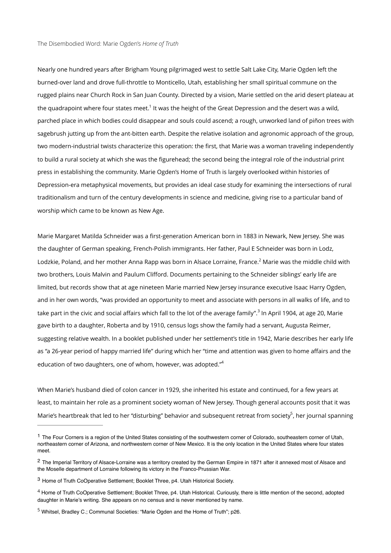<span id="page-0-5"></span>Nearly one hundred years after Brigham Young pilgrimaged west to settle Salt Lake City, Marie Ogden left the burned-over land and drove full-throttle to Monticello, Utah, establishing her small spiritual commune on the rugged plains near Church Rock in San Juan County. Directed by a vision, Marie settled on the arid desert plateau at the quadrapoint where four states meet[.](#page-0-0)<sup>[1](#page-0-0)</sup> It was the height of the Great Depression and the desert was a wild, parched place in which bodies could disappear and souls could ascend; a rough, unworked land of piñon trees with sagebrush jutting up from the ant-bitten earth. Despite the relative isolation and agronomic approach of the group, two modern-industrial twists characterize this operation: the first, that Marie was a woman traveling independently to build a rural society at which she was the figurehead; the second being the integral role of the industrial print press in establishing the community. Marie Ogden's Home of Truth is largely overlooked within histories of Depression-era metaphysical movements, but provides an ideal case study for examining the intersections of rural traditionalism and turn of the century developments in science and medicine, giving rise to a particular band of worship which came to be known as New Age.

<span id="page-0-6"></span>Marie Margaret Matilda Schneider was a first-generation American born in 1883 in Newark, New Jersey. She was the daughter of German speaking, French-Polish immigrants. Her father, Paul E Schneider was born in Lodz, Lodzkie, Poland, and her mother Anna Rapp was born in Alsace Lorraine, France.<sup>[2](#page-0-1)</sup> Marie was the middle child with two brothers, Louis Malvin and Paulum Clifford. Documents pertaining to the Schneider siblings' early life are limited, but records show that at age nineteen Marie married New Jersey insurance executive Isaac Harry Ogden, and in her own words, "was provided an opportunity to meet and associate with persons in all walks of life, and to take part in the civic and social affairs which fall to the lot of the average family".<sup>[3](#page-0-2)</sup> In April 1904, at age 20, Marie gave birth to a daughter, Roberta and by 1910, census logs show the family had a servant, Augusta Reimer, suggesting relative wealth. In a booklet published under her settlement's title in 1942, Marie describes her early life as "a 26-year period of happy married life" during which her "time and attention was given to home affairs and the education of two daughters, one of whom, however, was adopted.["4](#page-0-3)

<span id="page-0-8"></span><span id="page-0-7"></span>When Marie's husband died of colon cancer in 1929, she inherited his estate and continued, for a few years at least, to maintain her role as a prominent society woman of New Jersey. Though general accounts posit that it was Marie's heartbreak that led to her "disturbing" behavior and subsequent retreat from society<sup>[5](#page-0-4)</sup>, her journal spanning

<span id="page-0-9"></span><span id="page-0-0"></span><sup>&</sup>lt;sup>[1](#page-0-5)</sup> The Four Corners is a region of the United States consisting of the southwestern corner of Colorado, southeastern corner of Utah, northeastern corner of Arizona, and northwestern corner of New Mexico. It is the only location in the United States where four states meet.

<span id="page-0-1"></span><sup>&</sup>lt;sup>[2](#page-0-6)</sup> The Imperial Territory of Alsace-Lorraine was a territory created by the German Empire in 1871 after it annexed most of Alsace and the Moselle department of Lorraine following its victory in the Franco-Prussian War.

<span id="page-0-2"></span><sup>&</sup>lt;sup>[3](#page-0-7)</sup> Home of Truth CoOperative Settlement: Booklet Three, p4. Utah Historical Society.

<span id="page-0-3"></span><sup>&</sup>lt;sup>[4](#page-0-8)</sup> Home of Truth CoOperative Settlement: Booklet Three, p4. Utah Historical. Curiously, there is little mention of the second, adopted daughter in Marie's writing. She appears on no census and is never mentioned by name.

<span id="page-0-4"></span><sup>&</sup>lt;sup>[5](#page-0-9)</sup> Whitsel, Bradley C.; Communal Societies: "Marie Ogden and the Home of Truth"; p26.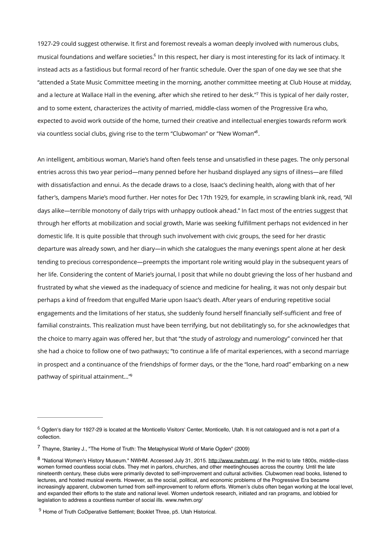<span id="page-1-5"></span><span id="page-1-4"></span>1927-29 could suggest otherwise. It first and foremost reveals a woman deeply involved with numerous clubs, musical foundations and welfare societies[.](#page-1-0)<sup>[6](#page-1-0)</sup> In this respect, her diary is most interesting for its lack of intimacy. It instead acts as a fastidious but formal record of her frantic schedule. Over the span of one day we see that she "attended a State Music Committee meeting in the morning, another committee meeting at Club House at midday, and a lecture at Wallace Hall in the evening, after which she retired to her desk.["](#page-1-1)<sup>[7](#page-1-1)</sup> This is typical of her daily roster, and to some extent, characterizes the activity of married, middle-class women of the Progressive Era who, expected to avoid work outside of the home, turned their creative and intellectual energies towards reform work via countless social clubs, giving rise to the term "Clubwoman" or "New Woman".

<span id="page-1-6"></span>An intelligent, ambitious woman, Marie's hand often feels tense and unsatisfied in these pages. The only personal entries across this two year period—many penned before her husband displayed any signs of illness—are filled with dissatisfaction and ennui. As the decade draws to a close, Isaac's declining health, along with that of her father's, dampens Marie's mood further. Her notes for Dec 17th 1929, for example, in scrawling blank ink, read, "All days alike—terrible monotony of daily trips with unhappy outlook ahead." In fact most of the entries suggest that through her efforts at mobilization and social growth, Marie was seeking fulfillment perhaps not evidenced in her domestic life. It is quite possible that through such involvement with civic groups, the seed for her drastic departure was already sown, and her diary—in which she catalogues the many evenings spent alone at her desk tending to precious correspondence—preempts the important role writing would play in the subsequent years of her life. Considering the content of Marie's journal, I posit that while no doubt grieving the loss of her husband and frustrated by what she viewed as the inadequacy of science and medicine for healing, it was not only despair but perhaps a kind of freedom that engulfed Marie upon Isaac's death. After years of enduring repetitive social engagements and the limitations of her status, she suddenly found herself financially self-sufficient and free of familial constraints. This realization must have been terrifying, but not debilitatingly so, for she acknowledges that the choice to marry again was offered her, but that "the study of astrology and numerology" convinced her that she had a choice to follow one of two pathways; "to continue a life of marital experiences, with a second marriage in prospect and a continuance of the friendships of former days, or the the "lone, hard road" embarking on a new pathway of spiritual attainment..."<sup>9</sup>

<span id="page-1-7"></span><span id="page-1-0"></span> $6$  Ogden's diary for 1927-29 is located at the Monticello Visitors' Center, Monticello, Utah. It is not catalogued and is not a part of a collection.

<span id="page-1-1"></span> $7$  Thayne, Stanley J., "The Home of Truth: The Metaphysical World of Marie Ogden" (2009)

<span id="page-1-2"></span><sup>8 &</sup>quot;National Women's History Museum." NWHM. Accessed July 31, 2015. [http://www.nwhm.org/.](http://www.nwhm.org/) In the mid to late 1[8](#page-1-6)00s, middle-class women formed countless social clubs. They met in parlors, churches, and other meetinghouses across the country. Until the late nineteenth century, these clubs were primarily devoted to self-improvement and cultural activities. Clubwomen read books, listened to lectures, and hosted musical events. However, as the social, political, and economic problems of the Progressive Era became increasingly apparent, clubwomen turned from self-improvement to reform efforts. Women's clubs often began working at the local level, and expanded their efforts to the state and national level. Women undertook research, initiated and ran programs, and lobbied for legislation to address a countless number of social ills. www.nwhm.org/

<span id="page-1-3"></span><sup>&</sup>lt;sup>[9](#page-1-7)</sup> Home of Truth CoOperative Settlement; Booklet Three, p5. Utah Historical.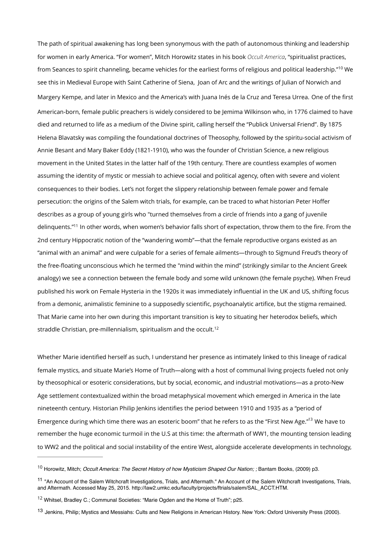<span id="page-2-4"></span>The path of spiritual awakening has long been synonymous with the path of autonomous thinking and leadership for women in early America. "For women", Mitch Horowitz states in his book *Occult America*, "spiritualist practices, fromSeances to spirit channeling, became vehicles for the earliest forms of religious and political leadership."<sup>[10](#page-2-0)</sup> We see this in Medieval Europe with Saint Catherine of Siena, Joan of Arc and the writings of Julian of Norwich and Margery Kempe, and later in Mexico and the America's with Juana Inés de la Cruz and Teresa Urrea. One of the first American-born, female public preachers is widely considered to be Jemima Wilkinson who, in 1776 claimed to have died and returned to life as a medium of the Divine spirit, calling herself the "Publick Universal Friend". By 1875 Helena Blavatsky was compiling the foundational doctrines of Theosophy, followed by the spiritu-social activism of Annie Besant and Mary Baker Eddy (1821-1910), who was the founder of Christian Science, a new religious movement in the United States in the latter half of the 19th century. There are countless examples of women assuming the identity of mystic or messiah to achieve social and political agency, often with severe and violent consequences to their bodies. Let's not forget the slippery relationship between female power and female persecution: the origins of the Salem witch trials, for example, can be traced to what historian Peter Hoffer describes as a group of young girls who "turned themselves from a circle of friends into a gang of juvenile delinguents."<sup>[11](#page-2-1)</sup> In other words, when women's behavior falls short of expectation, throw them to the fire. From the 2nd century Hippocratic notion of the "wandering womb"—that the female reproductive organs existed as an "animal with an animal" and were culpable for a series of female ailments—through to Sigmund Freud's theory of the free-floating unconscious which he termed the "mind within the mind" (strikingly similar to the Ancient Greek analogy) we see a connection between the female body and some wild unknown (the female psyche). When Freud published his work on Female Hysteria in the 1920s it was immediately influential in the UK and US, shifting focus from a demonic, animalistic feminine to a supposedly scientific, psychoanalytic artifice, but the stigma remained. That Marie came into her own during this important transition is key to situating her heterodox beliefs, which straddle Christian, pre-millennialism, spiritualism and the occult.<sup>12</sup>

<span id="page-2-6"></span><span id="page-2-5"></span>Whether Marie identified herself as such, I understand her presence as intimately linked to this lineage of radical female mystics, and situate Marie's Home of Truth—along with a host of communal living projects fueled not only by theosophical or esoteric considerations, but by social, economic, and industrial motivations—as a proto-New Age settlement contextualized within the broad metaphysical movement which emerged in America in the late nineteenth century. Historian Philip Jenkins identifies the period between 1910 and 1935 as a "period of Emergence during which time there was an esoteric boom["](#page-2-3) that he refers to as the "First New Age."<sup>[13](#page-2-3)</sup> We have to remember the huge economic turmoil in the U.S at this time: the aftermath of WW1, the mounting tension leading to WW2 and the political and social instability of the entire West, alongside accelerate developments in technology,

<span id="page-2-7"></span><span id="page-2-0"></span><sup>&</sup>lt;sup>[10](#page-2-4)</sup> Horowitz, Mitch; *Occult America: The Secret History of how Mysticism Shaped Our Nation: : Bantam Books, (2009) p3.* 

<span id="page-2-1"></span><sup>&</sup>lt;sup>[11](#page-2-5)</sup> "An Account of the Salem Witchcraft Investigations, Trials, and Aftermath." An Account of the Salem Witchcraft Investigations, Trials, and Aftermath. Accessed May 25, 2015. http://law2.umkc.edu/faculty/projects/ftrials/salem/SAL\_ACCT.HTM.

<span id="page-2-2"></span> $12$  Whitsel, Bradley C.; Communal Societies: "Marie Ogden and the Home of Truth"; p25.

<span id="page-2-3"></span>[<sup>13</sup>](#page-2-7) Jenkins, Philip; Mystics and Messiahs: Cults and New Religions in American History. New York: Oxford University Press (2000).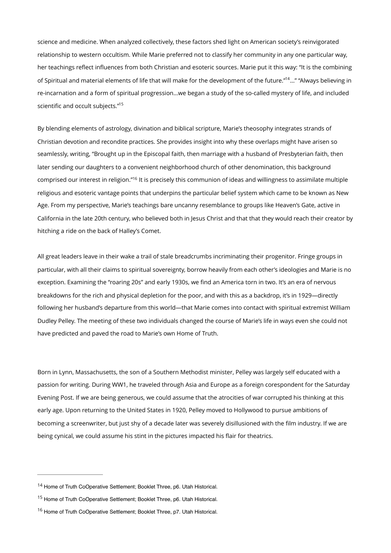<span id="page-3-3"></span>science and medicine. When analyzed collectively, these factors shed light on American society's reinvigorated relationship to western occultism. While Marie preferred not to classify her community in any one particular way, her teachings reflect influences from both Christian and esoteric sources. Marie put it this way: "It is the combining of Spiritual and material elements of life that will make for the development of the future."<sup>[14](#page-3-0)</sup>..." "Always believing in re-incarnation and a form of spiritual progression…we began a study of the so-called mystery of life, and included scientific and occult subjects.["15](#page-3-1)

<span id="page-3-5"></span><span id="page-3-4"></span>By blending elements of astrology, divination and biblical scripture, Marie's theosophy integrates strands of Christian devotion and recondite practices. She provides insight into why these overlaps might have arisen so seamlessly, writing, "Brought up in the Episcopal faith, then marriage with a husband of Presbyterian faith, then later sending our daughters to a convenient neighborhood church of other denomination, this background comprised our interest in religion."<sup>[16](#page-3-2)</sup> It is precisely this communion of ideas and willingness to assimilate multiple religious and esoteric vantage points that underpins the particular belief system which came to be known as New Age. From my perspective, Marie's teachings bare uncanny resemblance to groups like Heaven's Gate, active in California in the late 20th century, who believed both in Jesus Christ and that that they would reach their creator by hitching a ride on the back of Halley's Comet.

All great leaders leave in their wake a trail of stale breadcrumbs incriminating their progenitor. Fringe groups in particular, with all their claims to spiritual sovereignty, borrow heavily from each other's ideologies and Marie is no exception. Examining the "roaring 20s" and early 1930s, we find an America torn in two. It's an era of nervous breakdowns for the rich and physical depletion for the poor, and with this as a backdrop, it's in 1929—directly following her husband's departure from this world—that Marie comes into contact with spiritual extremist William Dudley Pelley. The meeting of these two individuals changed the course of Marie's life in ways even she could not have predicted and paved the road to Marie's own Home of Truth.

Born in Lynn, Massachusetts, the son of a Southern Methodist minister, Pelley was largely self educated with a passion for writing. During WW1, he traveled through Asia and Europe as a foreign corespondent for the Saturday Evening Post. If we are being generous, we could assume that the atrocities of war corrupted his thinking at this early age. Upon returning to the United States in 1920, Pelley moved to Hollywood to pursue ambitions of becoming a screenwriter, but just shy of a decade later was severely disillusioned with the film industry. If we are being cynical, we could assume his stint in the pictures impacted his flair for theatrics.

<span id="page-3-0"></span><sup>&</sup>lt;sup>[14](#page-3-3)</sup> Home of Truth CoOperative Settlement: Booklet Three, p6. Utah Historical.

<span id="page-3-1"></span><sup>&</sup>lt;sup>[15](#page-3-4)</sup> Home of Truth CoOperative Settlement; Booklet Three, p6. Utah Historical.

<span id="page-3-2"></span><sup>&</sup>lt;sup>[16](#page-3-5)</sup> Home of Truth CoOperative Settlement; Booklet Three, p7. Utah Historical.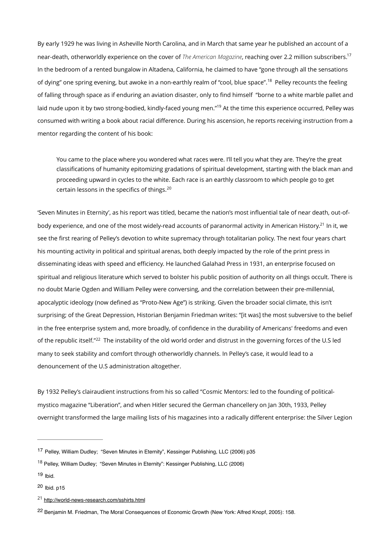By early 1929 he was living in Asheville North Carolina, and in March that same year he published an account of a near-death, otherworldly experience on the cover of *The American Magazine*, reaching over 2.2 million subscribers[.17](#page-4-0) In the bedroom of a rented bungalow in Altadena, California, he claimed to have "gone through all the sensations of dying" one spring evening, but awoke in a non-earthly realm of "cool, blue space".<sup>[18](#page-4-1)</sup> Pelley recounts the feeling of falling through space as if enduring an aviation disaster, only to find himself "borne to a white marble pallet and laid nude upon it by two strong-bodied, kindly-faced young men."<sup>[19](#page-4-2)</sup> At the time this experience occurred, Pelley was consumed with writing a book about racial difference. During his ascension, he reports receiving instruction from a mentor regarding the content of his book:

<span id="page-4-10"></span><span id="page-4-9"></span><span id="page-4-8"></span><span id="page-4-7"></span><span id="page-4-6"></span>You came to the place where you wondered what races were. I'll tell you what they are. They're the great classifications of humanity epitomizing gradations of spiritual development, starting with the black man and proceeding upward in cycles to the white. Each race is an earthly classroom to which people go to get certain lessons in the specifics of things. [20](#page-4-3)

'Seven Minutes in Eternity', as his report was titled, became the nation's most influential tale of near death, out-of-body experience, and one of the most widely-read accounts of paranormal activity in American History[.](#page-4-4)<sup>[21](#page-4-4)</sup> In it, we see the first rearing of Pelley's devotion to white supremacy through totalitarian policy. The next four years chart his mounting activity in political and spiritual arenas, both deeply impacted by the role of the print press in disseminating ideas with speed and efficiency. He launched Galahad Press in 1931, an enterprise focused on spiritual and religious literature which served to bolster his public position of authority on all things occult. There is no doubt Marie Ogden and William Pelley were conversing, and the correlation between their pre-millennial, apocalyptic ideology (now defined as "Proto-New Age") is striking. Given the broader social climate, this isn't surprising; of the Great Depression, Historian Benjamin Friedman writes: "[it was] the most subversive to the belief in the free enterprise system and, more broadly, of confidence in the durability of Americans' freedoms and even of the republic itself."<sup>[22](#page-4-5)</sup> The instability of the old world order and distrust in the governing forces of the U.S led many to seek stability and comfort through otherworldly channels. In Pelley's case, it would lead to a denouncement of the U.S administration altogether.

<span id="page-4-11"></span>By 1932 Pelley's clairaudient instructions from his so called "Cosmic Mentors: led to the founding of politicalmystico magazine "Liberation", and when Hitler secured the German chancellery on Jan 30th, 1933, Pelley overnight transformed the large mailing lists of his magazines into a radically different enterprise: the Silver Legion

<span id="page-4-0"></span><sup>&</sup>lt;sup>[17](#page-4-6)</sup> Pelley, William Dudley; "Seven Minutes in Eternity", Kessinger Publishing, LLC (2006) p35

<span id="page-4-1"></span><sup>&</sup>lt;sup>[18](#page-4-7)</sup> Pelley, William Dudley; "Seven Minutes in Eternity": Kessinger Publishing, LLC (2006)

<span id="page-4-2"></span> $19$  Ibid.

<span id="page-4-3"></span> $20$  Ibid. p15

<span id="page-4-4"></span><http://world-news-research.com/sshirts.html> [21](#page-4-10)

<span id="page-4-5"></span>[<sup>22</sup>](#page-4-11) Benjamin M. Friedman, The Moral Consequences of Economic Growth (New York: Alfred Knopf, 2005): 158.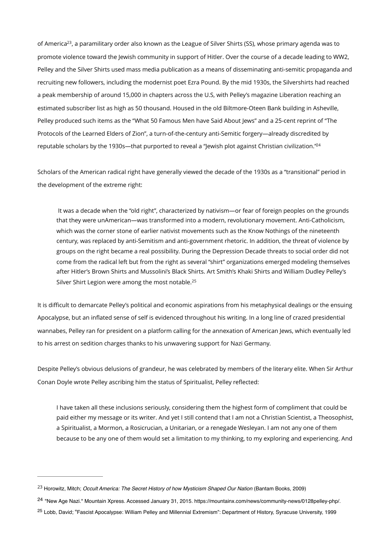<span id="page-5-3"></span>of America<sup>[23](#page-5-0)</sup>, a paramilitary order also known as the League of Silver Shirts (SS), whose primary agenda was to promote violence toward the Jewish community in support of Hitler. Over the course of a decade leading to WW2, Pelley and the Silver Shirts used mass media publication as a means of disseminating anti-semitic propaganda and recruiting new followers, including the modernist poet Ezra Pound. By the mid 1930s, the Silvershirts had reached a peak membership of around 15,000 in chapters across the U.S, with Pelley's magazine Liberation reaching an estimated subscriber list as high as 50 thousand. Housed in the old Biltmore-Oteen Bank building in Asheville, Pelley produced such items as the "What 50 Famous Men have Said About Jews" and a 25-cent reprint of "The Protocols of the Learned Elders of Zion", a turn-of-the-century anti-Semitic forgery—already discredited by reputable scholars by the 1930s—that purported to reveal a "Jewish plot against Christian civilization.["24](#page-5-1)

Scholars of the American radical right have generally viewed the decade of the 1930s as a "transitional" period in the development of the extreme right:

<span id="page-5-5"></span><span id="page-5-4"></span> It was a decade when the "old right", characterized by nativism—or fear of foreign peoples on the grounds that they were unAmerican—was transformed into a modern, revolutionary movement. Anti-Catholicism, which was the corner stone of earlier nativist movements such as the Know Nothings of the nineteenth century, was replaced by anti-Semitism and anti-government rhetoric. In addition, the threat of violence by groups on the right became a real possibility. During the Depression Decade threats to social order did not come from the radical left but from the right as several "shirt" organizations emerged modeling themselves after Hitler's Brown Shirts and Mussolini's Black Shirts. Art Smith's Khaki Shirts and William Dudley Pelley's Silver Shirt Legion were among the most notable.<sup>[25](#page-5-2)</sup>

It is difficult to demarcate Pelley's political and economic aspirations from his metaphysical dealings or the ensuing Apocalypse, but an inflated sense of self is evidenced throughout his writing. In a long line of crazed presidential wannabes, Pelley ran for president on a platform calling for the annexation of American Jews, which eventually led to his arrest on sedition charges thanks to his unwavering support for Nazi Germany.

Despite Pelley's obvious delusions of grandeur, he was celebrated by members of the literary elite. When Sir Arthur Conan Doyle wrote Pelley ascribing him the status of Spiritualist, Pelley reflected:

I have taken all these inclusions seriously, considering them the highest form of compliment that could be paid either my message or its writer. And yet I still contend that I am not a Christian Scientist, a Theosophist, a Spiritualist, a Mormon, a Rosicrucian, a Unitarian, or a renegade Wesleyan. I am not any one of them because to be any one of them would set a limitation to my thinking, to my exploring and experiencing. And

<span id="page-5-0"></span><sup>&</sup>lt;sup>[23](#page-5-3)</sup> Horowitz, Mitch; *Occult America: The Secret History of how Mysticism Shaped Our Nation (Bantam Books, 2009)* 

<span id="page-5-1"></span><sup>&</sup>lt;sup>[24](#page-5-4)</sup> "New Age Nazi." Mountain Xpress. Accessed January 31, 2015. https://mountainx.com/news/community-news/0128pelley-php/.

<span id="page-5-2"></span><sup>&</sup>lt;sup>[25](#page-5-5)</sup> Lobb, David; "Fascist Apocalypse: William Pelley and Millennial Extremism": Department of History, Syracuse University, 1999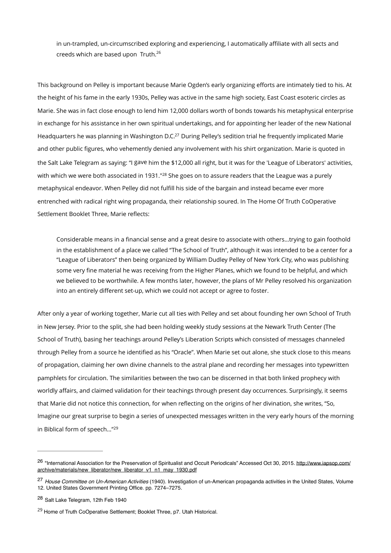<span id="page-6-4"></span>in un-trampled, un-circumscribed exploring and experiencing, I automatically affiliate with all sects and creeds which are based upon Truth[.26](#page-6-0)

<span id="page-6-5"></span>This background on Pelley is important because Marie Ogden's early organizing efforts are intimately tied to his. At the height of his fame in the early 1930s, Pelley was active in the same high society, East Coast esoteric circles as Marie. She was in fact close enough to lend him 12,000 dollars worth of bonds towards his metaphysical enterprise in exchange for his assistance in her own spiritual undertakings, and for appointing her leader of the new National Headquarters he was planning in Washington D[.](#page-6-1)C.<sup>[27](#page-6-1)</sup> During Pelley's sedition trial he frequently implicated Marie and other public figures, who vehemently denied any involvement with his shirt organization. Marie is quoted in the Salt Lake Telegram as saying: "I gave him the \$12,000 all right, but it was for the 'League of Liberators' activities, withwhich we were both associated in 1931."<sup>[28](#page-6-2)</sup> She goes on to assure readers that the League was a purely metaphysical endeavor. When Pelley did not fulfill his side of the bargain and instead became ever more entrenched with radical right wing propaganda, their relationship soured. In The Home Of Truth CoOperative Settlement Booklet Three, Marie reflects:

<span id="page-6-6"></span>Considerable means in a financial sense and a great desire to associate with others…trying to gain foothold in the establishment of a place we called "The School of Truth", although it was intended to be a center for a "League of Liberators" then being organized by William Dudley Pelley of New York City, who was publishing some very fine material he was receiving from the Higher Planes, which we found to be helpful, and which we believed to be worthwhile. A few months later, however, the plans of Mr Pelley resolved his organization into an entirely different set-up, which we could not accept or agree to foster.

After only a year of working together, Marie cut all ties with Pelley and set about founding her own School of Truth in New Jersey. Prior to the split, she had been holding weekly study sessions at the Newark Truth Center (The School of Truth), basing her teachings around Pelley's Liberation Scripts which consisted of messages channeled through Pelley from a source he identified as his "Oracle". When Marie set out alone, she stuck close to this means of propagation, claiming her own divine channels to the astral plane and recording her messages into typewritten pamphlets for circulation. The similarities between the two can be discerned in that both linked prophecy with worldly affairs, and claimed validation for their teachings through present day occurrences. Surprisingly, it seems that Marie did not notice this connection, for when reflecting on the origins of her divination, she writes, "So, Imagine our great surprise to begin a series of unexpected messages written in the very early hours of the morning in Biblical form of speech..."<sup>[29](#page-6-3)</sup>

<span id="page-6-7"></span><span id="page-6-0"></span><sup>&</sup>lt;sup>26</sup> ["International Association for the Preservation of Spiritualist and Occult Periodicals" Accessed Oct 30, 2015. http://www.iapsop.com/](http://www.iapsop.com/archive/materials/new_liberator/new_liberator_v1_n1_may_1930.pdf) archive/materials/new\_liberator/new\_liberator\_v1\_n1\_may\_1930.pdf

<span id="page-6-1"></span>*House Committee on Un-American Activities* (1940). Investigation of un-American propaganda activities in the United States, Volume [27](#page-6-5) 12. United States Government Printing Office. pp. 7274–7275.

<span id="page-6-2"></span><sup>&</sup>lt;sup>[28](#page-6-6)</sup> Salt Lake Telegram, 12th Feb 1940

<span id="page-6-3"></span><sup>&</sup>lt;sup>[29](#page-6-7)</sup> Home of Truth CoOperative Settlement; Booklet Three, p7. Utah Historical.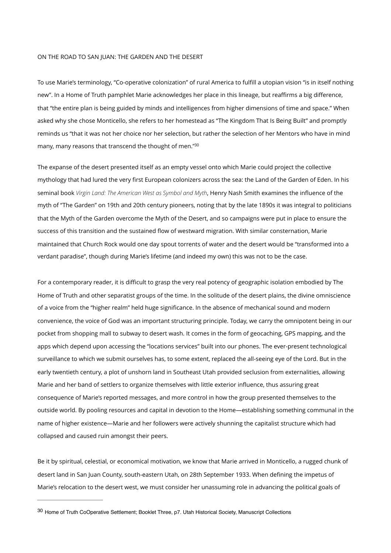## ON THE ROAD TO SAN JUAN: THE GARDEN AND THE DESERT

To use Marie's terminology, "Co-operative colonization" of rural America to fulfill a utopian vision "is in itself nothing new". In a Home of Truth pamphlet Marie acknowledges her place in this lineage, but reaffirms a big difference, that "the entire plan is being guided by minds and intelligences from higher dimensions of time and space." When asked why she chose Monticello, she refers to her homestead as "The Kingdom That Is Being Built" and promptly reminds us "that it was not her choice nor her selection, but rather the selection of her Mentors who have in mind many, many reasons that transcend the thought of men.["30](#page-7-0)

<span id="page-7-1"></span>The expanse of the desert presented itself as an empty vessel onto which Marie could project the collective mythology that had lured the very first European colonizers across the sea: the Land of the Garden of Eden. In his seminal book *Virgin Land: The American West as Symbol and Myth*, Henry Nash Smith examines the influence of the myth of "The Garden" on 19th and 20th century pioneers, noting that by the late 1890s it was integral to politicians that the Myth of the Garden overcome the Myth of the Desert, and so campaigns were put in place to ensure the success of this transition and the sustained flow of westward migration. With similar consternation, Marie maintained that Church Rock would one day spout torrents of water and the desert would be "transformed into a verdant paradise", though during Marie's lifetime (and indeed my own) this was not to be the case.

For a contemporary reader, it is difficult to grasp the very real potency of geographic isolation embodied by The Home of Truth and other separatist groups of the time. In the solitude of the desert plains, the divine omniscience of a voice from the "higher realm" held huge significance. In the absence of mechanical sound and modern convenience, the voice of God was an important structuring principle. Today, we carry the omnipotent being in our pocket from shopping mall to subway to desert wash. It comes in the form of geocaching, GPS mapping, and the apps which depend upon accessing the "locations services" built into our phones. The ever-present technological surveillance to which we submit ourselves has, to some extent, replaced the all-seeing eye of the Lord. But in the early twentieth century, a plot of unshorn land in Southeast Utah provided seclusion from externalities, allowing Marie and her band of settlers to organize themselves with little exterior influence, thus assuring great consequence of Marie's reported messages, and more control in how the group presented themselves to the outside world. By pooling resources and capital in devotion to the Home—establishing something communal in the name of higher existence—Marie and her followers were actively shunning the capitalist structure which had collapsed and caused ruin amongst their peers.

Be it by spiritual, celestial, or economical motivation, we know that Marie arrived in Monticello, a rugged chunk of desert land in San Juan County, south-eastern Utah, on 28th September 1933. When defining the impetus of Marie's relocation to the desert west, we must consider her unassuming role in advancing the political goals of

<span id="page-7-0"></span>[<sup>30</sup>](#page-7-1) Home of Truth CoOperative Settlement; Booklet Three, p7. Utah Historical Society, Manuscript Collections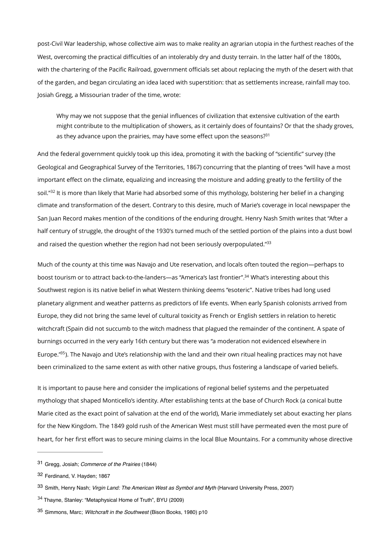post-Civil War leadership, whose collective aim was to make reality an agrarian utopia in the furthest reaches of the West, overcoming the practical difficulties of an intolerably dry and dusty terrain. In the latter half of the 1800s, with the chartering of the Pacific Railroad, government officials set about replacing the myth of the desert with that of the garden, and began circulating an idea laced with superstition: that as settlements increase, rainfall may too. Josiah Gregg, a Missourian trader of the time, wrote:

<span id="page-8-5"></span>Why may we not suppose that the genial influences of civilization that extensive cultivation of the earth might contribute to the multiplication of showers, as it certainly does of fountains? Or that the shady groves, as they advance upon the prairies, may have some effect upon the seasons? $31$ 

<span id="page-8-6"></span>And the federal government quickly took up this idea, promoting it with the backing of "scientific" survey (the Geological and Geographical Survey of the Territories, 1867) concurring that the planting of trees "will have a most important effect on the climate, equalizing and increasing the moisture and adding greatly to the fertility of the soil."<sup>[32](#page-8-1)</sup> It is more than likely that Marie had absorbed some of this mythology, bolstering her belief in a changing climate and transformation of the desert. Contrary to this desire, much of Marie's coverage in local newspaper the San Juan Record makes mention of the conditions of the enduring drought. Henry Nash Smith writes that "After a half century of struggle, the drought of the 1930's turned much of the settled portion of the plains into a dust bowl and raised the question whether the region had not been seriously overpopulated.["33](#page-8-2)

<span id="page-8-8"></span><span id="page-8-7"></span>Much of the county at this time was Navajo and Ute reservation, and locals often touted the region—perhaps to boost tourism or to attract back-to-the-landers—as "America's last frontier"[.](#page-8-3)<sup>[34](#page-8-3)</sup> What's interesting about this Southwest region is its native belief in what Western thinking deems "esoteric". Native tribes had long used planetary alignment and weather patterns as predictors of life events. When early Spanish colonists arrived from Europe, they did not bring the same level of cultural toxicity as French or English settlers in relation to heretic witchcraft (Spain did not succumb to the witch madness that plagued the remainder of the continent. A spate of burnings occurred in the very early 16th century but there was "a moderation not evidenced elsewhere in Europe."<sup>[35](#page-8-4)</sup>). The Navajo and Ute's relationship with the land and their own ritual healing practices may not have been criminalized to the same extent as with other native groups, thus fostering a landscape of varied beliefs.

<span id="page-8-9"></span>It is important to pause here and consider the implications of regional belief systems and the perpetuated mythology that shaped Monticello's identity. After establishing tents at the base of Church Rock (a conical butte Marie cited as the exact point of salvation at the end of the world), Marie immediately set about exacting her plans for the New Kingdom. The 1849 gold rush of the American West must still have permeated even the most pure of heart, for her first effort was to secure mining claims in the local Blue Mountains. For a community whose directive

<span id="page-8-0"></span>Gregg, Josiah; *Commerce of the Prairies* (1844) [31](#page-8-5)

<span id="page-8-1"></span>[<sup>32</sup>](#page-8-6) Ferdinand, V. Hayden; 1867

<span id="page-8-2"></span>[<sup>33</sup>](#page-8-7) Smith, Henry Nash; *Virgin Land: The American West as Symbol and Myth* (Harvard University Press, 2007)

<span id="page-8-3"></span><sup>&</sup>lt;sup>[34](#page-8-8)</sup> Thayne, Stanley: "Metaphysical Home of Truth", BYU (2009)

<span id="page-8-4"></span>Simmons, Marc; *Witchcraft in the Southwest* (Bison Books, 1980) p10 [35](#page-8-9)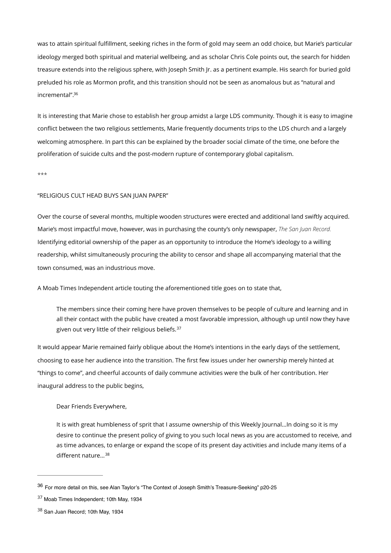was to attain spiritual fulfillment, seeking riches in the form of gold may seem an odd choice, but Marie's particular ideology merged both spiritual and material wellbeing, and as scholar Chris Cole points out, the search for hidden treasure extends into the religious sphere, with Joseph Smith Jr. as a pertinent example. His search for buried gold preluded his role as Mormon profit, and this transition should not be seen as anomalous but as "natural and incremental"[.36](#page-9-0)

<span id="page-9-3"></span>It is interesting that Marie chose to establish her group amidst a large LDS community. Though it is easy to imagine conflict between the two religious settlements, Marie frequently documents trips to the LDS church and a largely welcoming atmosphere. In part this can be explained by the broader social climate of the time, one before the proliferation of suicide cults and the post-modern rupture of contemporary global capitalism.

\*\*\*

## "RELIGIOUS CULT HEAD BUYS SAN JUAN PAPER"

Over the course of several months, multiple wooden structures were erected and additional land swiftly acquired. Marie's most impactful move, however, was in purchasing the county's only newspaper, *The San Juan Record.*  Identifying editorial ownership of the paper as an opportunity to introduce the Home's ideology to a willing readership, whilst simultaneously procuring the ability to censor and shape all accompanying material that the town consumed, was an industrious move.

A Moab Times Independent article touting the aforementioned title goes on to state that,

<span id="page-9-4"></span>The members since their coming here have proven themselves to be people of culture and learning and in all their contact with the public have created a most favorable impression, although up until now they have given out very little of their religious beliefs.[37](#page-9-1)

It would appear Marie remained fairly oblique about the Home's intentions in the early days of the settlement, choosing to ease her audience into the transition. The first few issues under her ownership merely hinted at "things to come", and cheerful accounts of daily commune activities were the bulk of her contribution. Her inaugural address to the public begins,

## Dear Friends Everywhere,

<span id="page-9-5"></span>It is with great humbleness of sprit that I assume ownership of this Weekly Journal…In doing so it is my desire to continue the present policy of giving to you such local news as you are accustomed to receive, and as time advances, to enlarge or expand the scope of its present day activities and include many items of a different nature...<sup>[38](#page-9-2)</sup>

<span id="page-9-0"></span><sup>&</sup>lt;sup>[36](#page-9-3)</sup> For more detail on this, see Alan Taylor's "The Context of Joseph Smith's Treasure-Seeking" p20-25

<span id="page-9-1"></span><sup>&</sup>lt;sup>[37](#page-9-4)</sup> Moab Times Independent; 10th May, 1934

<span id="page-9-2"></span>[<sup>38</sup>](#page-9-5) San Juan Record; 10th May, 1934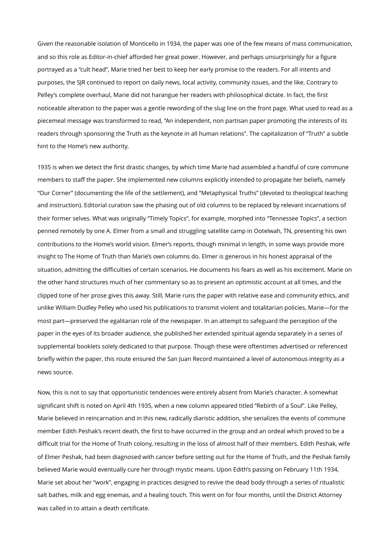Given the reasonable isolation of Monticello in 1934, the paper was one of the few means of mass communication, and so this role as Editor-in-chief afforded her great power. However, and perhaps unsurprisingly for a figure portrayed as a "cult head", Marie tried her best to keep her early promise to the readers. For all intents and purposes, the SJR continued to report on daily news, local activity, community issues, and the like. Contrary to Pelley's complete overhaul, Marie did not harangue her readers with philosophical dictate. In fact, the first noticeable alteration to the paper was a gentle rewording of the slug line on the front page. What used to read as a piecemeal message was transformed to read, "An independent, non partisan paper promoting the interests of its readers through sponsoring the Truth as the keynote in all human relations". The capitalization of "Truth" a subtle hint to the Home's new authority.

1935 is when we detect the first drastic changes, by which time Marie had assembled a handful of core commune members to staff the paper. She implemented new columns explicitly intended to propagate her beliefs, namely "Our Corner" (documenting the life of the settlement), and "Metaphysical Truths" (devoted to theological teaching and instruction). Editorial curation saw the phasing out of old columns to be replaced by relevant incarnations of their former selves. What was originally "Timely Topics", for example, morphed into "Tennessee Topics", a section penned remotely by one A. Elmer from a small and struggling satellite camp in Ootelwah, TN, presenting his own contributions to the Home's world vision. Elmer's reports, though minimal in length, in some ways provide more insight to The Home of Truth than Marie's own columns do. Elmer is generous in his honest appraisal of the situation, admitting the difficulties of certain scenarios. He documents his fears as well as his excitement. Marie on the other hand structures much of her commentary so as to present an optimistic account at all times, and the clipped tone of her prose gives this away. Still, Marie runs the paper with relative ease and community ethics, and unlike William Dudley Pelley who used his publications to transmit violent and totalitarian policies, Marie—for the most part—preserved the egalitarian role of the newspaper. In an attempt to safeguard the perception of the paper in the eyes of its broader audience, she published her extended spiritual agenda separately in a series of supplemental booklets solely dedicated to that purpose. Though these were oftentimes advertised or referenced briefly within the paper, this route ensured the San Juan Record maintained a level of autonomous integrity as a news source.

Now, this is not to say that opportunistic tendencies were entirely absent from Marie's character. A somewhat significant shift is noted on April 4th 1935, when a new column appeared titled "Rebirth of a Soul". Like Pelley, Marie believed in reincarnation and in this new, radically diaristic addition, she serializes the events of commune member Edith Peshak's recent death, the first to have occurred in the group and an ordeal which proved to be a difficult trial for the Home of Truth colony, resulting in the loss of almost half of their members. Edith Peshak, wife of Elmer Peshak, had been diagnosed with cancer before setting out for the Home of Truth, and the Peshak family believed Marie would eventually cure her through mystic means. Upon Edith's passing on February 11th 1934, Marie set about her "work", engaging in practices designed to revive the dead body through a series of ritualistic salt bathes, milk and egg enemas, and a healing touch. This went on for four months, until the District Attorney was called in to attain a death certificate.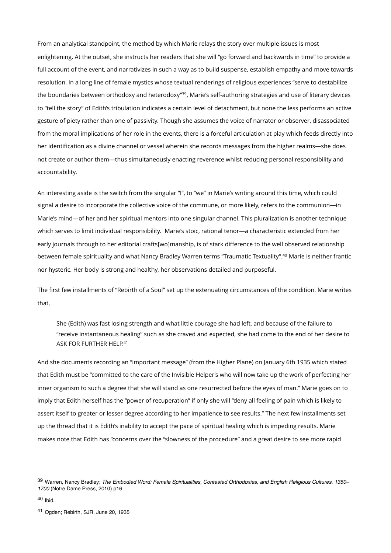<span id="page-11-3"></span>From an analytical standpoint, the method by which Marie relays the story over multiple issues is most enlightening. At the outset, she instructs her readers that she will "go forward and backwards in time" to provide a full account of the event, and narrativizes in such a way as to build suspense, establish empathy and move towards resolution. In a long line of female mystics whose textual renderings of religious experiences "serve to destabilize the boundaries between orthodoxy and heterodoxy"<sup>[39](#page-11-0)</sup>, Marie's self-authoring strategies and use of literary devices to "tell the story" of Edith's tribulation indicates a certain level of detachment, but none the less performs an active gesture of piety rather than one of passivity. Though she assumes the voice of narrator or observer, disassociated from the moral implications of her role in the events, there is a forceful articulation at play which feeds directly into her identification as a divine channel or vessel wherein she records messages from the higher realms—she does not create or author them—thus simultaneously enacting reverence whilst reducing personal responsibility and accountability.

An interesting aside is the switch from the singular "I", to "we" in Marie's writing around this time, which could signal a desire to incorporate the collective voice of the commune, or more likely, refers to the communion—in Marie's mind—of her and her spiritual mentors into one singular channel. This pluralization is another technique which serves to limit individual responsibility. Marie's stoic, rational tenor—a characteristic extended from her early journals through to her editorial crafts[wo]manship, is of stark difference to the well observed relationship between female spirituality and what Nancy Bradley Warren terms "Traumatic Textuality"[.](#page-11-1)<sup>[40](#page-11-1)</sup> Marie is neither frantic nor hysteric. Her body is strong and healthy, her observations detailed and purposeful.

The first few installments of "Rebirth of a Soul" set up the extenuating circumstances of the condition. Marie writes that,

<span id="page-11-5"></span><span id="page-11-4"></span>She (Edith) was fast losing strength and what little courage she had left, and because of the failure to "receive instantaneous healing" such as she craved and expected, she had come to the end of her desire to ASK FOR FURTHER HELP.<sup>41</sup>

And she documents recording an "important message" (from the Higher Plane) on January 6th 1935 which stated that Edith must be "committed to the care of the Invisible Helper's who will now take up the work of perfecting her inner organism to such a degree that she will stand as one resurrected before the eyes of man." Marie goes on to imply that Edith herself has the "power of recuperation" if only she will "deny all feeling of pain which is likely to assert itself to greater or lesser degree according to her impatience to see results." The next few installments set up the thread that it is Edith's inability to accept the pace of spiritual healing which is impeding results. Marie makes note that Edith has "concerns over the "slowness of the procedure" and a great desire to see more rapid

<span id="page-11-0"></span>Warren, Nancy Bradley; *The Embodied Word: Female Spiritualities, Contested Orthodoxies, and English Religious Cultures, 1350–* [39](#page-11-3) *1700* (Notre Dame Press, 2010) p16

<span id="page-11-1"></span> $40$  Ibid.

<span id="page-11-2"></span><sup>&</sup>lt;sup>[41](#page-11-5)</sup> Ogden; Rebirth, SJR, June 20, 1935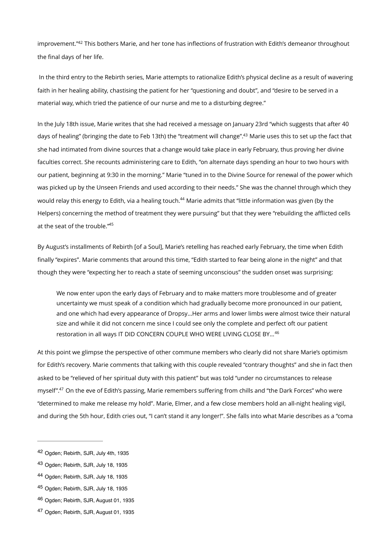<span id="page-12-6"></span>improvement."<sup>[42](#page-12-0)</sup> This bothers Marie, and her tone has inflections of frustration with Edith's demeanor throughout the final days of her life.

 In the third entry to the Rebirth series, Marie attempts to rationalize Edith's physical decline as a result of wavering faith in her healing ability, chastising the patient for her "questioning and doubt", and "desire to be served in a material way, which tried the patience of our nurse and me to a disturbing degree."

<span id="page-12-7"></span>In the July 18th issue, Marie writes that she had received a message on January 23rd "which suggests that after 40 days of healing" (bringing the date to Feb 13th) the "treatment will change"[.](#page-12-1)<sup>[43](#page-12-1)</sup> Marie uses this to set up the fact that she had intimated from divine sources that a change would take place in early February, thus proving her divine faculties correct. She recounts administering care to Edith, "on alternate days spending an hour to two hours with our patient, beginning at 9:30 in the morning." Marie "tuned in to the Divine Source for renewal of the power which was picked up by the Unseen Friends and used according to their needs." She was the channel through which they would relay this energy to Edith, via a healing touch.<sup>[44](#page-12-2)</sup> Marie admits that "little information was given (by the Helpers) concerning the method of treatment they were pursuing" but that they were "rebuilding the afflicted cells at the seat of the trouble.["45](#page-12-3)

<span id="page-12-9"></span><span id="page-12-8"></span>By August's installments of Rebirth [of a Soul], Marie's retelling has reached early February, the time when Edith finally "expires". Marie comments that around this time, "Edith started to fear being alone in the night" and that though they were "expecting her to reach a state of seeming unconscious" the sudden onset was surprising:

<span id="page-12-10"></span>We now enter upon the early days of February and to make matters more troublesome and of greater uncertainty we must speak of a condition which had gradually become more pronounced in our patient, and one which had every appearance of Dropsy…Her arms and lower limbs were almost twice their natural size and while it did not concern me since I could see only the complete and perfect oft our patient restoration in all ways IT DID CONCERN COUPLE WHO WERE LIVING CLOSE BY…[46](#page-12-4)

<span id="page-12-11"></span>At this point we glimpse the perspective of other commune members who clearly did not share Marie's optimism for Edith's recovery. Marie comments that talking with this couple revealed "contrary thoughts" and she in fact then asked to be "relieved of her spiritual duty with this patient" but was told "under no circumstances to release myself".<sup>[47](#page-12-5)</sup> On the eve of Edith's passing, Marie remembers suffering from chills and "the Dark Forces" who were "determined to make me release my hold". Marie, Elmer, and a few close members hold an all-night healing vigil, and during the 5th hour, Edith cries out, "I can't stand it any longer!". She falls into what Marie describes as a "coma

<span id="page-12-0"></span><sup>&</sup>lt;sup>[42](#page-12-6)</sup> Ogden: Rebirth, SJR, July 4th, 1935

<span id="page-12-1"></span><sup>&</sup>lt;sup>[43](#page-12-7)</sup> Ogden; Rebirth, SJR, July 18, 1935

<span id="page-12-2"></span>[<sup>44</sup>](#page-12-8) Ogden; Rebirth, SJR, July 18, 1935

<span id="page-12-3"></span><sup>&</sup>lt;sup>[45](#page-12-9)</sup> Ogden; Rebirth, SJR, July 18, 1935

<span id="page-12-4"></span><sup>&</sup>lt;sup>[46](#page-12-10)</sup> Ogden: Rebirth, SJR, August 01, 1935

<span id="page-12-5"></span>[<sup>47</sup>](#page-12-11) Ogden; Rebirth, SJR, August 01, 1935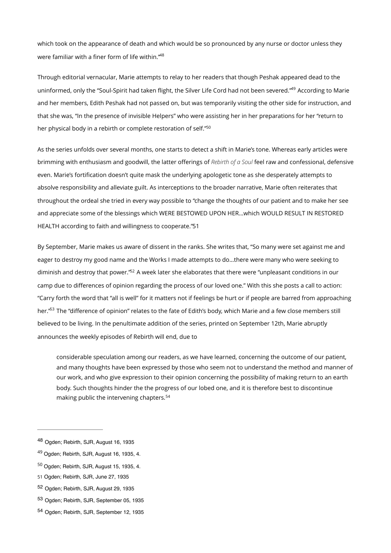which took on the appearance of death and which would be so pronounced by any nurse or doctor unless they were familiar with a finer form of life within.["48](#page-13-0)

<span id="page-13-8"></span><span id="page-13-7"></span>Through editorial vernacular, Marie attempts to relay to her readers that though Peshak appeared dead to the uninformed, only the ["](#page-13-1)Soul-Spirit had taken flight, the Silver Life Cord had not been severed."<sup>[49](#page-13-1)</sup> According to Marie and her members, Edith Peshak had not passed on, but was temporarily visiting the other side for instruction, and that she was, "In the presence of invisible Helpers" who were assisting her in her preparations for her "return to her physical body in a rebirth or complete restoration of self."<sup>50</sup>

<span id="page-13-9"></span>As the series unfolds over several months, one starts to detect a shift in Marie's tone. Whereas early articles were brimming with enthusiasm and goodwill, the latter offerings of *Rebirth of a Soul* feel raw and confessional, defensive even. Marie's fortification doesn't quite mask the underlying apologetic tone as she desperately attempts to absolve responsibility and alleviate guilt. As interceptions to the broader narrative, Marie often reiterates that throughout the ordeal she tried in every way possible to "change the thoughts of our patient and to make her see and appreciate some of the blessings which WERE BESTOWED UPON HER…which WOULD RESULT IN RESTORED HEALTH according to faith and willingness to cooperate.["51](#page-13-3)‑

<span id="page-13-11"></span><span id="page-13-10"></span>By September, Marie makes us aware of dissent in the ranks. She writes that, "So many were set against me and eager to destroy my good name and the Works I made attempts to do…there were many who were seeking to diminish and destroy that power.["](#page-13-4)<sup>[52](#page-13-4)</sup> A week later she elaborates that there were "unpleasant conditions in our camp due to differences of opinion regarding the process of our loved one." With this she posts a call to action: "Carry forth the word that "all is well" for it matters not if feelings be hurt or if people are barred from approaching her."<sup>63</sup> The "difference of opinion" relates to the fate of Edith's body, which Marie and a few close members still believed to be living. In the penultimate addition of the series, printed on September 12th, Marie abruptly announces the weekly episodes of Rebirth will end, due to

<span id="page-13-13"></span><span id="page-13-12"></span>considerable speculation among our readers, as we have learned, concerning the outcome of our patient, and many thoughts have been expressed by those who seem not to understand the method and manner of our work, and who give expression to their opinion concerning the possibility of making return to an earth body. Such thoughts hinder the the progress of our lobed one, and it is therefore best to discontinue making public the intervening chapters.[54](#page-13-6)

<span id="page-13-0"></span><sup>&</sup>lt;sup>[48](#page-13-7)</sup> Ogden; Rebirth, SJR, August 16, 1935

<span id="page-13-1"></span> $49$  Ogden; Rebirth, SJR, August 16, 1935, 4.

<span id="page-13-2"></span> $50$  Ogden; Rebirth, SJR, August 15, 1935, 4.

<span id="page-13-3"></span>[<sup>51</sup>](#page-13-10) Ogden; Rebirth, SJR, June 27, 1935

<span id="page-13-4"></span>[<sup>52</sup>](#page-13-11) Ogden; Rebirth, SJR, August 29, 1935

<span id="page-13-5"></span>[<sup>53</sup>](#page-13-12) Ogden: Rebirth, SJR, September 05, 1935

<span id="page-13-6"></span>[<sup>54</sup>](#page-13-13) Ogden; Rebirth, SJR, September 12, 1935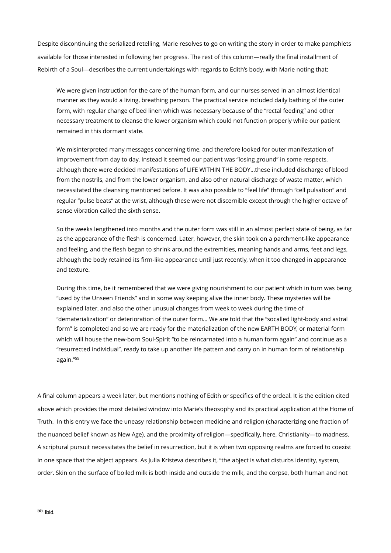Despite discontinuing the serialized retelling, Marie resolves to go on writing the story in order to make pamphlets available for those interested in following her progress. The rest of this column—really the final installment of Rebirth of a Soul—describes the current undertakings with regards to Edith's body, with Marie noting that:

We were given instruction for the care of the human form, and our nurses served in an almost identical manner as they would a living, breathing person. The practical service included daily bathing of the outer form, with regular change of bed linen which was necessary because of the "rectal feeding" and other necessary treatment to cleanse the lower organism which could not function properly while our patient remained in this dormant state.

We misinterpreted many messages concerning time, and therefore looked for outer manifestation of improvement from day to day. Instead it seemed our patient was "losing ground" in some respects, although there were decided manifestations of LIFE WITHIN THE BODY…these included discharge of blood from the nostrils, and from the lower organism, and also other natural discharge of waste matter, which necessitated the cleansing mentioned before. It was also possible to "feel life" through "cell pulsation" and regular "pulse beats" at the wrist, although these were not discernible except through the higher octave of sense vibration called the sixth sense.

So the weeks lengthened into months and the outer form was still in an almost perfect state of being, as far as the appearance of the flesh is concerned. Later, however, the skin took on a parchment-like appearance and feeling, and the flesh began to shrink around the extremities, meaning hands and arms, feet and legs, although the body retained its firm-like appearance until just recently, when it too changed in appearance and texture.

During this time, be it remembered that we were giving nourishment to our patient which in turn was being "used by the Unseen Friends" and in some way keeping alive the inner body. These mysteries will be explained later, and also the other unusual changes from week to week during the time of "dematerialization" or deterioration of the outer form… We are told that the "socalled light-body and astral form" is completed and so we are ready for the materialization of the new EARTH BODY, or material form which will house the new-born Soul-Spirit "to be reincarnated into a human form again" and continue as a "resurrected individual", ready to take up another life pattern and carry on in human form of relationship again.["55](#page-14-0)

<span id="page-14-1"></span><span id="page-14-0"></span>A final column appears a week later, but mentions nothing of Edith or specifics of the ordeal. It is the edition cited above which provides the most detailed window into Marie's theosophy and its practical application at the Home of Truth. In this entry we face the uneasy relationship between medicine and religion (characterizing one fraction of the nuanced belief known as New Age), and the proximity of religion—specifically, here, Christianity—to madness. A scriptural pursuit necessitates the belief in resurrection, but it is when two opposing realms are forced to coexist in one space that the abject appears. As Julia Kristeva describes it, "the abject is what disturbs identity, system, order. Skin on the surface of boiled milk is both inside and outside the milk, and the corpse, both human and not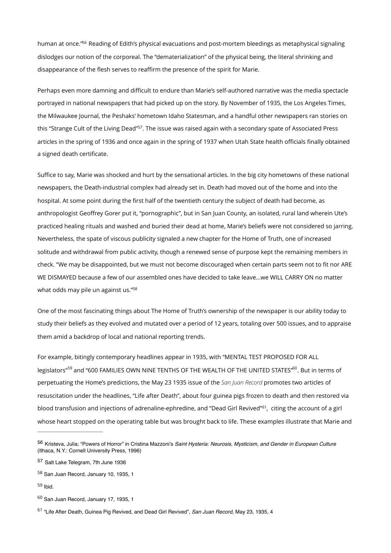<span id="page-15-6"></span>human at once.["](#page-15-0)<sup>[56](#page-15-0)</sup> Reading of Edith's physical evacuations and post-mortem bleedings as metaphysical signaling dislodges our notion of the corporeal. The "dematerialization" of the physical being, the literal shrinking and disappearance of the flesh serves to reaffirm the presence of the spirit for Marie.

<span id="page-15-7"></span>Perhaps even more damning and difficult to endure than Marie's self-authored narrative was the media spectacle portrayed in national newspapers that had picked up on the story. By November of 1935, the Los Angeles Times, the Milwaukee Journal, the Peshaks' hometown Idaho Statesman, and a handful other newspapers ran stories on this "Strange Cult of the Living Dead"<sup>[57](#page-15-1)</sup>. The issue was raised again with a secondary spate of Associated Press articles in the spring of 1936 and once again in the spring of 1937 when Utah State health officials finally obtained a signed death certificate.

Suffice to say, Marie was shocked and hurt by the sensational articles. In the big city hometowns of these national newspapers, the Death-industrial complex had already set in. Death had moved out of the home and into the hospital. At some point during the first half of the twentieth century the subject of death had become, as anthropologist Geoffrey Gorer put it, "pornographic", but in San Juan County, an isolated, rural land wherein Ute's practiced healing rituals and washed and buried their dead at home, Marie's beliefs were not considered so jarring. Nevertheless, the spate of viscous publicity signaled a new chapter for the Home of Truth, one of increased solitude and withdrawal from public activity, though a renewed sense of purpose kept the remaining members in check. "We may be disappointed, but we must not become discouraged when certain parts seem not to fit nor ARE WE DISMAYED because a few of our assembled ones have decided to take leave…we WILL CARRY ON no matter what odds may pile un against us.["58](#page-15-2)

<span id="page-15-8"></span>One of the most fascinating things about The Home of Truth's ownership of the newspaper is our ability today to study their beliefs as they evolved and mutated over a period of 12 years, totaling over 500 issues, and to appraise them amid a backdrop of local and national reporting trends.

<span id="page-15-10"></span><span id="page-15-9"></span>For example, bitingly contemporary headlines appear in 1935, with "MENTAL TEST PROPOSED FOR ALL legislators"<sup>[59](#page-15-3)</sup> and "600 FAMILIES OWN NINE TENTHS OF THE WEALTH OF THE UNITED STATES"<sup>60</sup>. But in terms of perpetuating the Home's predictions, the May 23 1935 issue of the *San Juan Record* promotes two articles of resuscitation under the headlines, "Life after Death", about four guinea pigs frozen to death and then restored via blood transfusion and injections of adrenaline-ephredine, and "Dead Girl Revived"<sup>[61](#page-15-5)</sup>, citing the account of a girl whose heart stopped on the operating table but was brought back to life. These examples illustrate that Marie and

<span id="page-15-11"></span><span id="page-15-0"></span>[<sup>56</sup>](#page-15-6) Kristeva, Julia; "Powers of Horror" in Cristina Mazzoni's Saint Hysteria: Neurosis, Mysticism, and Gender in European Culture (Ithaca, N.Y.: Cornell University Press, 1996)

<span id="page-15-1"></span>[<sup>57</sup>](#page-15-7) Salt Lake Telegram, 7th June 1936

<span id="page-15-2"></span> $58$  San Juan Record, January 10, 1935, 1

<span id="page-15-3"></span> $59$  Ihid.

<span id="page-15-4"></span> $60$  San Juan Record, January 17, 1935, 1

<span id="page-15-5"></span><sup>&</sup>lt;sup>[61](#page-15-11)</sup> "Life After Death, Guinea Pig Revived, and Dead Girl Revived", San Juan Record, May 23, 1935, 4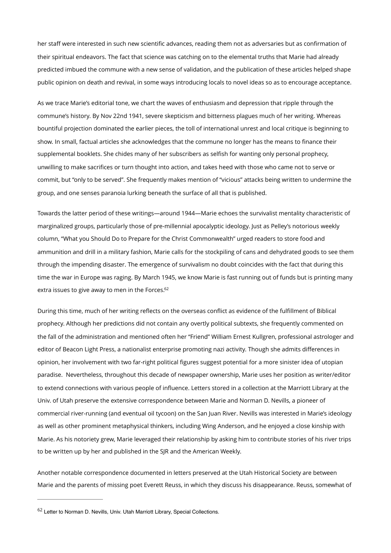her staff were interested in such new scientific advances, reading them not as adversaries but as confirmation of their spiritual endeavors. The fact that science was catching on to the elemental truths that Marie had already predicted imbued the commune with a new sense of validation, and the publication of these articles helped shape public opinion on death and revival, in some ways introducing locals to novel ideas so as to encourage acceptance.

As we trace Marie's editorial tone, we chart the waves of enthusiasm and depression that ripple through the commune's history. By Nov 22nd 1941, severe skepticism and bitterness plagues much of her writing. Whereas bountiful projection dominated the earlier pieces, the toll of international unrest and local critique is beginning to show. In small, factual articles she acknowledges that the commune no longer has the means to finance their supplemental booklets. She chides many of her subscribers as selfish for wanting only personal prophecy, unwilling to make sacrifices or turn thought into action, and takes heed with those who came not to serve or commit, but "only to be served". She frequently makes mention of "vicious" attacks being written to undermine the group, and one senses paranoia lurking beneath the surface of all that is published.

Towards the latter period of these writings—around 1944—Marie echoes the survivalist mentality characteristic of marginalized groups, particularly those of pre-millennial apocalyptic ideology. Just as Pelley's notorious weekly column, "What you Should Do to Prepare for the Christ Commonwealth" urged readers to store food and ammunition and drill in a military fashion, Marie calls for the stockpiling of cans and dehydrated goods to see them through the impending disaster. The emergence of survivalism no doubt coincides with the fact that during this time the war in Europe was raging. By March 1945, we know Marie is fast running out of funds but is printing many extra issues to give away to men in the Forces.<sup>62</sup>

<span id="page-16-1"></span>During this time, much of her writing reflects on the overseas conflict as evidence of the fulfillment of Biblical prophecy. Although her predictions did not contain any overtly political subtexts, she frequently commented on the fall of the administration and mentioned often her "Friend" William Ernest Kullgren, professional astrologer and editor of Beacon Light Press, a nationalist enterprise promoting nazi activity. Though she admits differences in opinion, her involvement with two far-right political figures suggest potential for a more sinister idea of utopian paradise. Nevertheless, throughout this decade of newspaper ownership, Marie uses her position as writer/editor to extend connections with various people of influence. Letters stored in a collection at the Marriott Library at the Univ. of Utah preserve the extensive correspondence between Marie and Norman D. Nevills, a pioneer of commercial river-running (and eventual oil tycoon) on the San Juan River. Nevills was interested in Marie's ideology as well as other prominent metaphysical thinkers, including Wing Anderson, and he enjoyed a close kinship with Marie. As his notoriety grew, Marie leveraged their relationship by asking him to contribute stories of his river trips to be written up by her and published in the SJR and the American Weekly.

Another notable correspondence documented in letters preserved at the Utah Historical Society are between Marie and the parents of missing poet Everett Reuss, in which they discuss his disappearance. Reuss, somewhat of

<span id="page-16-0"></span>[<sup>62</sup>](#page-16-1) Letter to Norman D. Nevills, Univ. Utah Marriott Library, Special Collections.